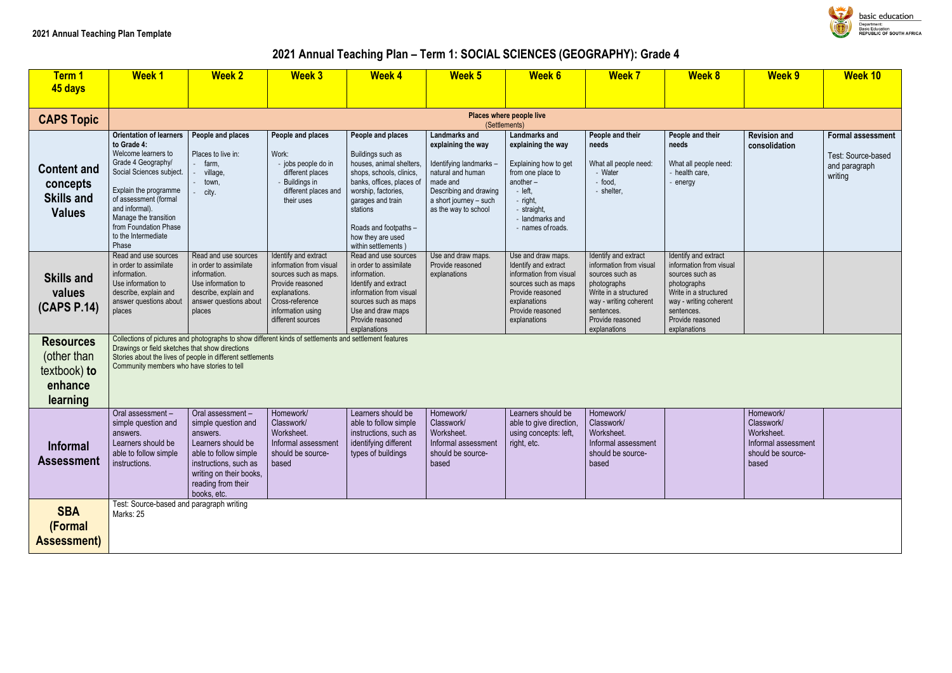## **2021 Annual Teaching Plan – Term 1: SOCIAL SCIENCES (GEOGRAPHY): Grade 4**

| <u>Term 1</u><br>45 days                                               | <b>Week1</b>                                                                                                                                                                                                                                                                 | <b>Week 2</b>                                                                                                                                                                                | <b>Week 3</b>                                                                                                                                                              | <b>Week 4</b>                                                                                                                                                                                                                                            | <b>Week 5</b>                                                                                                                                                                      | <b>Week 6</b>                                                                                                                                                                        | <b>Week 7</b>                                                                                                                                                                          | <b>Week 8</b>                                                                                                                                                                          | <b>Week 9</b>                                                                              | <b>Week 10</b>                                                             |
|------------------------------------------------------------------------|------------------------------------------------------------------------------------------------------------------------------------------------------------------------------------------------------------------------------------------------------------------------------|----------------------------------------------------------------------------------------------------------------------------------------------------------------------------------------------|----------------------------------------------------------------------------------------------------------------------------------------------------------------------------|----------------------------------------------------------------------------------------------------------------------------------------------------------------------------------------------------------------------------------------------------------|------------------------------------------------------------------------------------------------------------------------------------------------------------------------------------|--------------------------------------------------------------------------------------------------------------------------------------------------------------------------------------|----------------------------------------------------------------------------------------------------------------------------------------------------------------------------------------|----------------------------------------------------------------------------------------------------------------------------------------------------------------------------------------|--------------------------------------------------------------------------------------------|----------------------------------------------------------------------------|
| <b>CAPS Topic</b>                                                      |                                                                                                                                                                                                                                                                              |                                                                                                                                                                                              |                                                                                                                                                                            |                                                                                                                                                                                                                                                          | (Settlements)                                                                                                                                                                      | Places where people live                                                                                                                                                             |                                                                                                                                                                                        |                                                                                                                                                                                        |                                                                                            |                                                                            |
| <b>Content and</b><br>concepts<br><b>Skills and</b><br><b>Values</b>   | <b>Orientation of learners</b><br>to Grade 4:<br>Welcome learners to<br>Grade 4 Geography/<br>Social Sciences subject.<br>Explain the programme<br>of assessment (formal<br>and informal).<br>Manage the transition<br>from Foundation Phase<br>to the Intermediate<br>Phase | People and places<br>Places to live in:<br>farm,<br>village,<br>town,<br>city.                                                                                                               | People and places<br>Work:<br>- jobs people do in<br>different places<br>- Buildings in<br>different places and<br>their uses                                              | People and places<br>Buildings such as<br>houses, animal shelters,<br>shops, schools, clinics,<br>banks, offices, places of<br>worship, factories,<br>garages and train<br>stations<br>Roads and footpaths -<br>how they are used<br>within settlements) | <b>Landmarks and</b><br>explaining the way<br>Identifying landmarks -<br>natural and human<br>made and<br>Describing and drawing<br>a short journey - such<br>as the way to school | <b>Landmarks and</b><br>explaining the way<br>Explaining how to get<br>from one place to<br>another-<br>$-$ left,<br>- right,<br>- straight,<br>- landmarks and<br>- names of roads. | People and their<br>needs<br>What all people need:<br>- Water<br>- food,<br>- shelter,                                                                                                 | People and their<br>needs<br>What all people need:<br>- health care,<br>energy                                                                                                         | <b>Revision and</b><br>consolidation                                                       | <b>Formal assessment</b><br>Test: Source-based<br>and paragraph<br>writing |
| <b>Skills and</b><br>values<br>(CAPS P.14)                             | Read and use sources<br>in order to assimilate<br>information.<br>Use information to<br>describe, explain and<br>answer questions about<br>places                                                                                                                            | Read and use sources<br>in order to assimilate<br>information.<br>Use information to<br>describe, explain and<br>answer questions about<br>places                                            | Identify and extract<br>information from visual<br>sources such as maps.<br>Provide reasoned<br>explanations.<br>Cross-reference<br>information using<br>different sources | Read and use sources<br>in order to assimilate<br>information.<br>Identify and extract<br>information from visual<br>sources such as maps<br>Use and draw maps<br>Provide reasoned<br>explanations                                                       | Use and draw maps.<br>Provide reasoned<br>explanations                                                                                                                             | Use and draw maps.<br>Identify and extract<br>information from visual<br>sources such as maps<br>Provide reasoned<br>explanations<br>Provide reasoned<br>explanations                | Identify and extract<br>information from visual<br>sources such as<br>photographs<br>Write in a structured<br>way - writing coherent<br>sentences.<br>Provide reasoned<br>explanations | Identify and extract<br>information from visual<br>sources such as<br>photographs<br>Write in a structured<br>way - writing coherent<br>sentences.<br>Provide reasoned<br>explanations |                                                                                            |                                                                            |
| <b>Resources</b><br>(other than<br>textbook) to<br>enhance<br>learning | Drawings or field sketches that show directions<br>Community members who have stories to tell                                                                                                                                                                                | Stories about the lives of people in different settlements                                                                                                                                   | Collections of pictures and photographs to show different kinds of settlements and settlement features                                                                     |                                                                                                                                                                                                                                                          |                                                                                                                                                                                    |                                                                                                                                                                                      |                                                                                                                                                                                        |                                                                                                                                                                                        |                                                                                            |                                                                            |
| <b>Informal</b><br><b>Assessment</b>                                   | Oral assessment-<br>simple question and<br>answers.<br>Learners should be<br>able to follow simple<br>instructions.                                                                                                                                                          | Oral assessment -<br>simple question and<br>answers.<br>Learners should be<br>able to follow simple<br>instructions, such as<br>writing on their books,<br>reading from their<br>books, etc. | Homework/<br>Classwork/<br>Worksheet.<br>Informal assessment<br>should be source-<br>based                                                                                 | Learners should be<br>able to follow simple<br>instructions, such as<br>identifying different<br>types of buildings                                                                                                                                      | Homework/<br>Classwork/<br>Worksheet.<br>Informal assessment<br>should be source-<br>based                                                                                         | Learners should be<br>able to give direction,<br>using concepts: left,<br>right, etc.                                                                                                | Homework/<br>Classwork/<br>Worksheet.<br>Informal assessment<br>should be source-<br>based                                                                                             |                                                                                                                                                                                        | Homework/<br>Classwork/<br>Worksheet.<br>Informal assessment<br>should be source-<br>based |                                                                            |
| <b>SBA</b><br>(Formal<br><b>Assessment)</b>                            | Test: Source-based and paragraph writing<br>Marks: 25                                                                                                                                                                                                                        |                                                                                                                                                                                              |                                                                                                                                                                            |                                                                                                                                                                                                                                                          |                                                                                                                                                                                    |                                                                                                                                                                                      |                                                                                                                                                                                        |                                                                                                                                                                                        |                                                                                            |                                                                            |

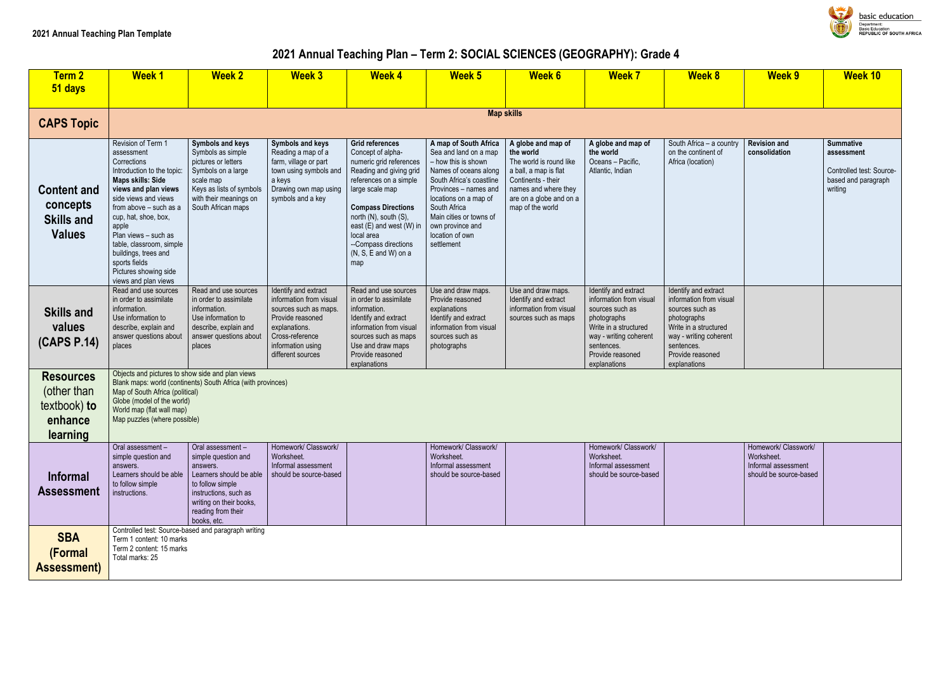# **2021 Annual Teaching Plan – Term 2: SOCIAL SCIENCES (GEOGRAPHY): Grade 4**

| <b>Term 2</b><br>51 days                                               | <b>Week1</b>                                                                                                                                                                                                                                                                                                                                                       | <b>Week 2</b>                                                                                                                                                                               | <b>Week 3</b>                                                                                                                                                              | <b>Week 4</b>                                                                                                                                                                                                                                                                                                    | <b>Week 5</b>                                                                                                                                                                                                                                                                | <b>Week 6</b>                                                                                                                                                                    | <b>Week 7</b>                                                                                                                                                                          | <b>Week 8</b>                                                                                                                                                                          | <b>Week 9</b>                                                                       | <b>Week 10</b>                                                                               |
|------------------------------------------------------------------------|--------------------------------------------------------------------------------------------------------------------------------------------------------------------------------------------------------------------------------------------------------------------------------------------------------------------------------------------------------------------|---------------------------------------------------------------------------------------------------------------------------------------------------------------------------------------------|----------------------------------------------------------------------------------------------------------------------------------------------------------------------------|------------------------------------------------------------------------------------------------------------------------------------------------------------------------------------------------------------------------------------------------------------------------------------------------------------------|------------------------------------------------------------------------------------------------------------------------------------------------------------------------------------------------------------------------------------------------------------------------------|----------------------------------------------------------------------------------------------------------------------------------------------------------------------------------|----------------------------------------------------------------------------------------------------------------------------------------------------------------------------------------|----------------------------------------------------------------------------------------------------------------------------------------------------------------------------------------|-------------------------------------------------------------------------------------|----------------------------------------------------------------------------------------------|
|                                                                        |                                                                                                                                                                                                                                                                                                                                                                    |                                                                                                                                                                                             |                                                                                                                                                                            |                                                                                                                                                                                                                                                                                                                  |                                                                                                                                                                                                                                                                              |                                                                                                                                                                                  |                                                                                                                                                                                        |                                                                                                                                                                                        |                                                                                     |                                                                                              |
| <b>CAPS Topic</b>                                                      |                                                                                                                                                                                                                                                                                                                                                                    |                                                                                                                                                                                             |                                                                                                                                                                            |                                                                                                                                                                                                                                                                                                                  | <b>Map skills</b>                                                                                                                                                                                                                                                            |                                                                                                                                                                                  |                                                                                                                                                                                        |                                                                                                                                                                                        |                                                                                     |                                                                                              |
| <b>Content and</b><br>concepts<br><b>Skills and</b><br><b>Values</b>   | Revision of Term 1<br>assessment<br>Corrections<br>Introduction to the topic:<br><b>Maps skills: Side</b><br>views and plan views<br>side views and views<br>from above - such as a<br>cup, hat, shoe, box,<br>apple<br>Plan views - such as<br>table, classroom, simple<br>buildings, trees and<br>sports fields<br>Pictures showing side<br>views and plan views | <b>Symbols and keys</b><br>Symbols as simple<br>pictures or letters<br>Symbols on a large<br>scale map<br>Keys as lists of symbols<br>with their meanings on<br>South African maps          | Symbols and keys<br>Reading a map of a<br>farm, village or part<br>town using symbols and<br>a keys<br>Drawing own map using<br>symbols and a key                          | <b>Grid references</b><br>Concept of alpha-<br>numeric grid references<br>Reading and giving grid<br>references on a simple<br>large scale map<br><b>Compass Directions</b><br>north (N), south (S),<br>east (E) and west (W) in<br>local area<br>--Compass directions<br>$(N, S, E \text{ and } W)$ on a<br>map | A map of South Africa<br>Sea and land on a map<br>- how this is shown<br>Names of oceans along<br>South Africa's coastline<br>Provinces - names and<br>locations on a map of<br>South Africa<br>Main cities or towns of<br>own province and<br>location of own<br>settlement | A globe and map of<br>the world<br>The world is round like<br>a ball, a map is flat<br>Continents - their<br>names and where they<br>are on a globe and on a<br>map of the world | A globe and map of<br>the world<br>Oceans - Pacific,<br>Atlantic, Indian                                                                                                               | South Africa - a country<br>on the continent of<br>Africa (location)                                                                                                                   | <b>Revision and</b><br>consolidation                                                | <b>Summative</b><br>assessment<br>Controlled test: Source-<br>based and paragraph<br>writing |
| <b>Skills and</b><br>values<br>(CAPS P.14)                             | Read and use sources<br>in order to assimilate<br>information.<br>Use information to<br>describe, explain and<br>answer questions about<br>places                                                                                                                                                                                                                  | Read and use sources<br>in order to assimilate<br>information.<br>Use information to<br>describe, explain and<br>answer questions about<br>places                                           | Identify and extract<br>information from visual<br>sources such as maps.<br>Provide reasoned<br>explanations.<br>Cross-reference<br>information using<br>different sources | Read and use sources<br>in order to assimilate<br>information.<br>Identify and extract<br>information from visual<br>sources such as maps<br>Use and draw maps<br>Provide reasoned<br>explanations                                                                                                               | Use and draw maps.<br>Provide reasoned<br>explanations<br>Identify and extract<br>information from visual<br>sources such as<br>photographs                                                                                                                                  | Use and draw maps.<br>Identify and extract<br>information from visual<br>sources such as maps                                                                                    | Identify and extract<br>information from visual<br>sources such as<br>photographs<br>Write in a structured<br>way - writing coherent<br>sentences.<br>Provide reasoned<br>explanations | Identify and extract<br>information from visual<br>sources such as<br>photographs<br>Write in a structured<br>way - writing coherent<br>sentences.<br>Provide reasoned<br>explanations |                                                                                     |                                                                                              |
| <b>Resources</b><br>(other than<br>textbook) to<br>enhance<br>learning | Objects and pictures to show side and plan views<br>Map of South Africa (political)<br>Globe (model of the world)<br>World map (flat wall map)<br>Map puzzles (where possible)                                                                                                                                                                                     | Blank maps: world (continents) South Africa (with provinces)                                                                                                                                |                                                                                                                                                                            |                                                                                                                                                                                                                                                                                                                  |                                                                                                                                                                                                                                                                              |                                                                                                                                                                                  |                                                                                                                                                                                        |                                                                                                                                                                                        |                                                                                     |                                                                                              |
| <b>Informal</b><br><b>Assessment</b>                                   | Oral assessment-<br>simple question and<br>answers.<br>Learners should be able<br>to follow simple<br>instructions.                                                                                                                                                                                                                                                | Oral assessment-<br>simple question and<br>answers.<br>Learners should be able<br>to follow simple<br>instructions, such as<br>writing on their books,<br>reading from their<br>books, etc. | Homework/ Classwork/<br>Worksheet.<br>Informal assessment<br>should be source-based                                                                                        |                                                                                                                                                                                                                                                                                                                  | Homework/ Classwork/<br>Worksheet.<br>Informal assessment<br>should be source-based                                                                                                                                                                                          |                                                                                                                                                                                  | Homework/ Classwork/<br>Worksheet.<br>Informal assessment<br>should be source-based                                                                                                    |                                                                                                                                                                                        | Homework/ Classwork/<br>Worksheet.<br>Informal assessment<br>should be source-based |                                                                                              |
| <b>SBA</b><br>(Formal<br><b>Assessment)</b>                            | Term 1 content: 10 marks<br>Term 2 content: 15 marks<br>Total marks: 25                                                                                                                                                                                                                                                                                            | Controlled test: Source-based and paragraph writing                                                                                                                                         |                                                                                                                                                                            |                                                                                                                                                                                                                                                                                                                  |                                                                                                                                                                                                                                                                              |                                                                                                                                                                                  |                                                                                                                                                                                        |                                                                                                                                                                                        |                                                                                     |                                                                                              |

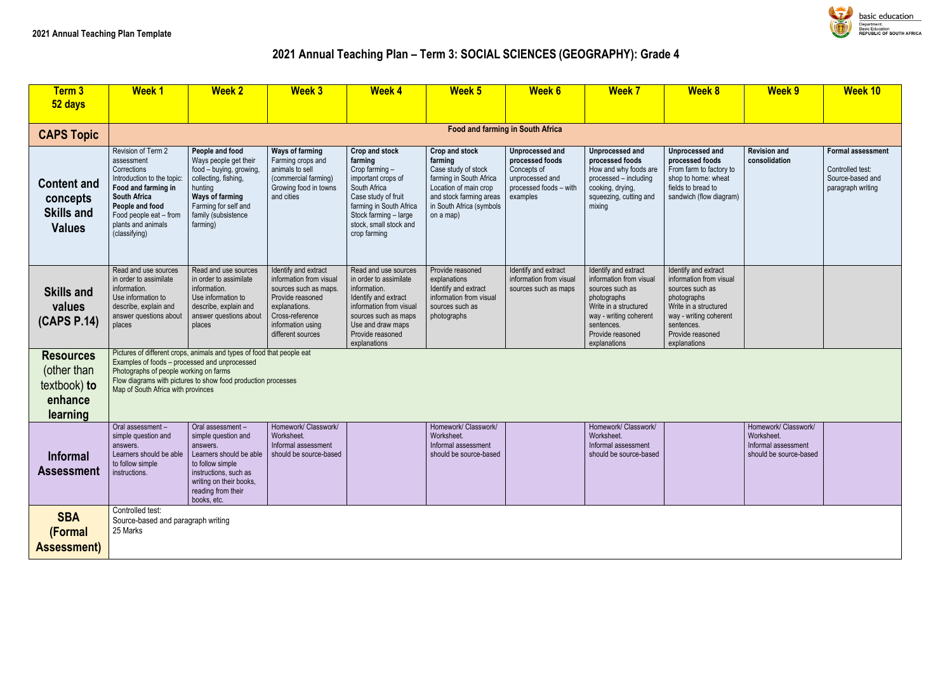# **2021 Annual Teaching Plan – Term 3: SOCIAL SCIENCES (GEOGRAPHY): Grade 4**

| Term 3                                                                 | <b>Week1</b>                                                                                                                                                                                                    | <b>Week 2</b>                                                                                                                                                                                | <b>Week 3</b>                                                                                                                                                              | <b>Week 4</b>                                                                                                                                                                                          | <b>Week 5</b>                                                                                                                                                            | <b>Week 6</b>                                                                                              | <b>Week 7</b>                                                                                                                                                                          | <b>Week 8</b>                                                                                                                                                                          | <b>Week 9</b>                                                                       | <b>Week 10</b>                                                              |
|------------------------------------------------------------------------|-----------------------------------------------------------------------------------------------------------------------------------------------------------------------------------------------------------------|----------------------------------------------------------------------------------------------------------------------------------------------------------------------------------------------|----------------------------------------------------------------------------------------------------------------------------------------------------------------------------|--------------------------------------------------------------------------------------------------------------------------------------------------------------------------------------------------------|--------------------------------------------------------------------------------------------------------------------------------------------------------------------------|------------------------------------------------------------------------------------------------------------|----------------------------------------------------------------------------------------------------------------------------------------------------------------------------------------|----------------------------------------------------------------------------------------------------------------------------------------------------------------------------------------|-------------------------------------------------------------------------------------|-----------------------------------------------------------------------------|
| 52 days                                                                |                                                                                                                                                                                                                 |                                                                                                                                                                                              |                                                                                                                                                                            |                                                                                                                                                                                                        |                                                                                                                                                                          |                                                                                                            |                                                                                                                                                                                        |                                                                                                                                                                                        |                                                                                     |                                                                             |
| <b>CAPS Topic</b>                                                      |                                                                                                                                                                                                                 |                                                                                                                                                                                              |                                                                                                                                                                            |                                                                                                                                                                                                        | <b>Food and farming in South Africa</b>                                                                                                                                  |                                                                                                            |                                                                                                                                                                                        |                                                                                                                                                                                        |                                                                                     |                                                                             |
| <b>Content and</b><br>concepts<br><b>Skills and</b><br><b>Values</b>   | Revision of Term 2<br>assessment<br>Corrections<br>Introduction to the topic:<br>Food and farming in<br><b>South Africa</b><br>People and food<br>Food people eat - from<br>plants and animals<br>(classifying) | People and food<br>Ways people get their<br>food - buying, growing,<br>collecting, fishing,<br>hunting<br><b>Ways of farming</b><br>Farming for self and<br>family (subsistence<br>farming)  | <b>Ways of farming</b><br>Farming crops and<br>animals to sell<br>(commercial farming)<br>Growing food in towns<br>and cities                                              | Crop and stock<br>farming<br>Crop farming -<br>important crops of<br>South Africa<br>Case study of fruit<br>farming in South Africa<br>Stock farming - large<br>stock, small stock and<br>crop farming | Crop and stock<br>farming<br>Case study of stock<br>farming in South Africa<br>Location of main crop<br>and stock farming areas<br>in South Africa (symbols<br>on a map) | Unprocessed and<br>processed foods<br>Concepts of<br>unprocessed and<br>processed foods - with<br>examples | Unprocessed and<br>processed foods<br>How and why foods are<br>processed - including<br>cooking, drying,<br>squeezing, cutting and<br>mixing                                           | Unprocessed and<br>processed foods<br>From farm to factory to<br>shop to home: wheat<br>fields to bread to<br>sandwich (flow diagram)                                                  | <b>Revision and</b><br>consolidation                                                | Formal assessm<br>Controlled test:<br>Source-based and<br>paragraph writing |
| <b>Skills and</b><br>values<br>(CAPS P.14)                             | Read and use sources<br>in order to assimilate<br>information.<br>Use information to<br>describe, explain and<br>answer questions about<br>places                                                               | Read and use sources<br>in order to assimilate<br>information.<br>Use information to<br>describe, explain and<br>answer questions about<br>places                                            | Identify and extract<br>information from visual<br>sources such as maps.<br>Provide reasoned<br>explanations.<br>Cross-reference<br>information using<br>different sources | Read and use sources<br>in order to assimilate<br>information.<br>Identify and extract<br>information from visual<br>sources such as maps<br>Use and draw maps<br>Provide reasoned<br>explanations     | Provide reasoned<br>explanations<br>Identify and extract<br>information from visual<br>sources such as<br>photographs                                                    | Identify and extract<br>information from visual<br>sources such as maps                                    | Identify and extract<br>information from visual<br>sources such as<br>photographs<br>Write in a structured<br>way - writing coherent<br>sentences.<br>Provide reasoned<br>explanations | Identify and extract<br>information from visual<br>sources such as<br>photographs<br>Write in a structured<br>way - writing coherent<br>sentences.<br>Provide reasoned<br>explanations |                                                                                     |                                                                             |
| <b>Resources</b><br>(other than<br>textbook) to<br>enhance<br>learning | Examples of foods - processed and unprocessed<br>Photographs of people working on farms<br>Map of South Africa with provinces                                                                                   | Pictures of different crops, animals and types of food that people eat<br>Flow diagrams with pictures to show food production processes                                                      |                                                                                                                                                                            |                                                                                                                                                                                                        |                                                                                                                                                                          |                                                                                                            |                                                                                                                                                                                        |                                                                                                                                                                                        |                                                                                     |                                                                             |
| <b>Informal</b><br><b>Assessment</b>                                   | Oral assessment -<br>simple question and<br>answers.<br>Learners should be able<br>to follow simple<br>instructions.                                                                                            | Oral assessment -<br>simple question and<br>answers.<br>Learners should be able<br>to follow simple<br>instructions, such as<br>writing on their books,<br>reading from their<br>books, etc. | Homework/ Classwork/<br>Worksheet.<br>Informal assessment<br>should be source-based                                                                                        |                                                                                                                                                                                                        | Homework/ Classwork/<br>Worksheet.<br>Informal assessment<br>should be source-based                                                                                      |                                                                                                            | Homework/ Classwork/<br>Worksheet.<br>Informal assessment<br>should be source-based                                                                                                    |                                                                                                                                                                                        | Homework/ Classwork/<br>Worksheet.<br>Informal assessment<br>should be source-based |                                                                             |
| <b>SBA</b><br>(Formal<br><b>Assessment)</b>                            | Controlled test:<br>Source-based and paragraph writing<br>25 Marks                                                                                                                                              |                                                                                                                                                                                              |                                                                                                                                                                            |                                                                                                                                                                                                        |                                                                                                                                                                          |                                                                                                            |                                                                                                                                                                                        |                                                                                                                                                                                        |                                                                                     |                                                                             |



|                                                          | <b>Week 9</b>                                                                       | <b>Week 10</b>                                                                        |
|----------------------------------------------------------|-------------------------------------------------------------------------------------|---------------------------------------------------------------------------------------|
|                                                          |                                                                                     |                                                                                       |
| $\overline{\mathsf{d}}$<br>ì<br>ory to<br>leat<br>agram) | <b>Revision and</b><br>consolidation                                                | <b>Formal assessment</b><br>Controlled test:<br>Source-based and<br>paragraph writing |
| $\overline{\text{ct}}$<br><i>isual</i>                   |                                                                                     |                                                                                       |
| ed<br>erent                                              |                                                                                     |                                                                                       |
|                                                          |                                                                                     |                                                                                       |
|                                                          | Homework/ Classwork/<br>Worksheet.<br>Informal assessment<br>should be source-based |                                                                                       |
|                                                          |                                                                                     |                                                                                       |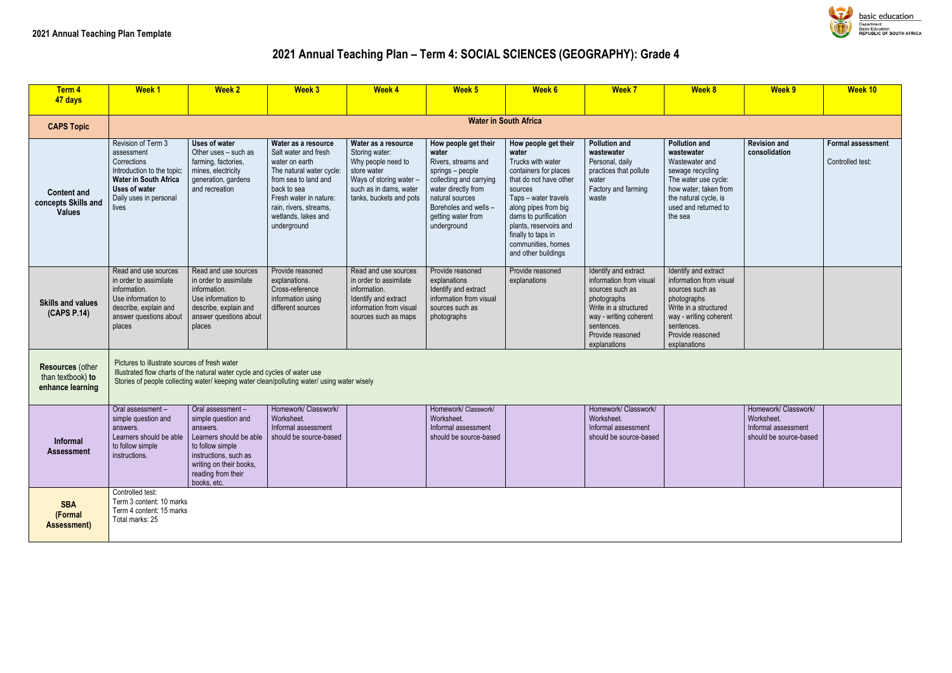## **2021 Annual Teaching Plan – Term 4: SOCIAL SCIENCES (GEOGRAPHY): Grade 4**

| Term 4<br>47 days                                                | <b>Week1</b>                                                                                                                                                             | <b>Week 2</b>                                                                                                                                                                               | <b>Week 3</b>                                                                                                                                                                                                              | <b>Week 4</b>                                                                                                                                              | Week <sub>5</sub>                                                                                                                                                                                           | <b>Week 6</b>                                                                                                                                                                                                                                                                         | <b>Week 7</b>                                                                                                                                                                          | <b>Week 8</b>                                                                                                                                                                          | Week 9                                                                              | Week 10                                      |
|------------------------------------------------------------------|--------------------------------------------------------------------------------------------------------------------------------------------------------------------------|---------------------------------------------------------------------------------------------------------------------------------------------------------------------------------------------|----------------------------------------------------------------------------------------------------------------------------------------------------------------------------------------------------------------------------|------------------------------------------------------------------------------------------------------------------------------------------------------------|-------------------------------------------------------------------------------------------------------------------------------------------------------------------------------------------------------------|---------------------------------------------------------------------------------------------------------------------------------------------------------------------------------------------------------------------------------------------------------------------------------------|----------------------------------------------------------------------------------------------------------------------------------------------------------------------------------------|----------------------------------------------------------------------------------------------------------------------------------------------------------------------------------------|-------------------------------------------------------------------------------------|----------------------------------------------|
|                                                                  |                                                                                                                                                                          |                                                                                                                                                                                             |                                                                                                                                                                                                                            |                                                                                                                                                            |                                                                                                                                                                                                             |                                                                                                                                                                                                                                                                                       |                                                                                                                                                                                        |                                                                                                                                                                                        |                                                                                     |                                              |
| <b>CAPS Topic</b>                                                |                                                                                                                                                                          |                                                                                                                                                                                             |                                                                                                                                                                                                                            |                                                                                                                                                            |                                                                                                                                                                                                             | <b>Water in South Africa</b>                                                                                                                                                                                                                                                          |                                                                                                                                                                                        |                                                                                                                                                                                        |                                                                                     |                                              |
| <b>Content and</b><br>concepts Skills and<br><b>Values</b>       | Revision of Term 3<br>assessment<br>Corrections<br>Introduction to the topic:<br><b>Water in South Africa</b><br><b>Uses of water</b><br>Daily uses in personal<br>lives | Uses of water<br>Other uses - such as<br>farming, factories,<br>mines, electricity<br>generation, gardens<br>and recreation                                                                 | Water as a resource<br>Salt water and fresh<br>water on earth<br>The natural water cycle:<br>from sea to land and<br>back to sea<br>Fresh water in nature:<br>rain, rivers, streams,<br>wetlands, lakes and<br>underground | Water as a resource<br>Storing water:<br>Why people need to<br>store water<br>Ways of storing water -<br>such as in dams, water<br>tanks, buckets and pots | How people get their<br>water<br>Rivers, streams and<br>springs - people<br>collecting and carrying<br>water directly from<br>natural sources<br>Boreholes and wells -<br>getting water from<br>underground | How people get their<br>water<br>Trucks with water<br>containers for places<br>that do not have other<br>sources<br>Taps - water travels<br>along pipes from big<br>dams to purification<br>plants, reservoirs and<br>finally to taps in<br>communities, homes<br>and other buildings | <b>Pollution and</b><br>wastewater<br>Personal, daily<br>practices that pollute<br>water<br>Factory and farming<br>waste                                                               | <b>Pollution and</b><br>wastewater<br>Wastewater and<br>sewage recycling<br>The water use cycle:<br>how water, taken from<br>the natural cycle, is<br>used and returned to<br>the sea  | <b>Revision and</b><br>consolidation                                                | <b>Formal assessment</b><br>Controlled test: |
| <b>Skills and values</b><br>(CAPS P.14)                          | Read and use sources<br>in order to assimilate<br>information.<br>Use information to<br>describe, explain and<br>answer questions about<br>places                        | Read and use sources<br>in order to assimilate<br>information.<br>Use information to<br>describe, explain and<br>answer questions about<br>places                                           | Provide reasoned<br>explanations.<br>Cross-reference<br>information using<br>different sources                                                                                                                             | Read and use sources<br>in order to assimilate<br>information.<br>Identify and extract<br>information from visual<br>sources such as maps                  | Provide reasoned<br>explanations<br>Identify and extract<br>information from visual<br>sources such as<br>photographs                                                                                       | Provide reasoned<br>explanations                                                                                                                                                                                                                                                      | Identify and extract<br>information from visual<br>sources such as<br>photographs<br>Write in a structured<br>way - writing coherent<br>sentences.<br>Provide reasoned<br>explanations | Identify and extract<br>information from visual<br>sources such as<br>photographs<br>Write in a structured<br>way - writing coherent<br>sentences.<br>Provide reasoned<br>explanations |                                                                                     |                                              |
| <b>Resources (other</b><br>than textbook) to<br>enhance learning | Pictures to illustrate sources of fresh water                                                                                                                            | Illustrated flow charts of the natural water cycle and cycles of water use                                                                                                                  | Stories of people collecting water/ keeping water clean/polluting water/ using water wisely                                                                                                                                |                                                                                                                                                            |                                                                                                                                                                                                             |                                                                                                                                                                                                                                                                                       |                                                                                                                                                                                        |                                                                                                                                                                                        |                                                                                     |                                              |
| Informal<br><b>Assessment</b>                                    | Oral assessment -<br>simple question and<br>answers.<br>Learners should be able<br>to follow simple<br>instructions.                                                     | Oral assessment-<br>simple question and<br>answers.<br>Learners should be able<br>to follow simple<br>instructions, such as<br>writing on their books,<br>reading from their<br>books, etc. | Homework/ Classwork/<br>Worksheet.<br>Informal assessment<br>should be source-based                                                                                                                                        |                                                                                                                                                            | Homework/ Classwork/<br>Worksheet.<br>Informal assessment<br>should be source-based                                                                                                                         |                                                                                                                                                                                                                                                                                       | Homework/ Classwork/<br>Worksheet.<br>Informal assessment<br>should be source-based                                                                                                    |                                                                                                                                                                                        | Homework/ Classwork/<br>Worksheet.<br>Informal assessment<br>should be source-based |                                              |
| <b>SBA</b><br>(Formal<br><b>Assessment)</b>                      | Controlled test:<br>Term 3 content: 10 marks<br>Term 4 content: 15 marks<br>Total marks: 25                                                                              |                                                                                                                                                                                             |                                                                                                                                                                                                                            |                                                                                                                                                            |                                                                                                                                                                                                             |                                                                                                                                                                                                                                                                                       |                                                                                                                                                                                        |                                                                                                                                                                                        |                                                                                     |                                              |

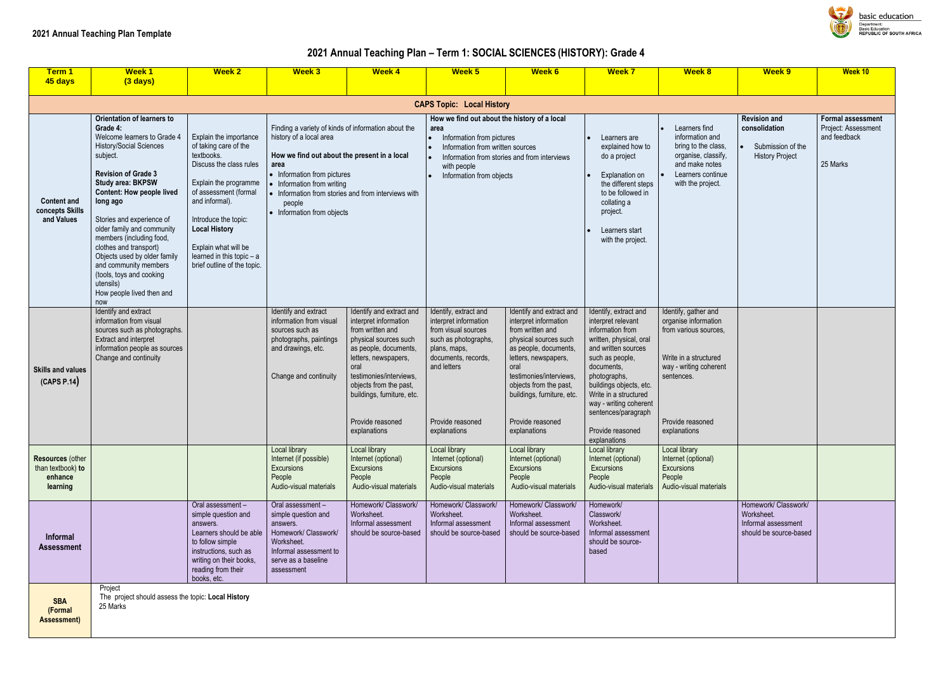## **2021 Annual Teaching Plan – Term 1: SOCIAL SCIENCES (HISTORY): Grade 4**

| Term 1<br>45 days                                                   | <b>Week1</b><br>$(3 \text{ days})$                                                                                                                                                                                                                                                                                                                                                                                                                                                   | <b>Week 2</b>                                                                                                                                                                                                                                                                                    | <b>Week 3</b>                                                                                                                                                                                                                             | <b>Week 4</b>                                                                                                                                                                                                                                                                  | Week <sub>5</sub>                                                                                                                                                                       | Week 6                                                                                                                                                                                                                                                                         | <b>Week 7</b>                                                                                                                                                                                                                                                                                               | <b>Week 8</b>                                                                                                                                                              | <b>Week 9</b>                                                                       | Week 10                                                        |
|---------------------------------------------------------------------|--------------------------------------------------------------------------------------------------------------------------------------------------------------------------------------------------------------------------------------------------------------------------------------------------------------------------------------------------------------------------------------------------------------------------------------------------------------------------------------|--------------------------------------------------------------------------------------------------------------------------------------------------------------------------------------------------------------------------------------------------------------------------------------------------|-------------------------------------------------------------------------------------------------------------------------------------------------------------------------------------------------------------------------------------------|--------------------------------------------------------------------------------------------------------------------------------------------------------------------------------------------------------------------------------------------------------------------------------|-----------------------------------------------------------------------------------------------------------------------------------------------------------------------------------------|--------------------------------------------------------------------------------------------------------------------------------------------------------------------------------------------------------------------------------------------------------------------------------|-------------------------------------------------------------------------------------------------------------------------------------------------------------------------------------------------------------------------------------------------------------------------------------------------------------|----------------------------------------------------------------------------------------------------------------------------------------------------------------------------|-------------------------------------------------------------------------------------|----------------------------------------------------------------|
|                                                                     |                                                                                                                                                                                                                                                                                                                                                                                                                                                                                      |                                                                                                                                                                                                                                                                                                  |                                                                                                                                                                                                                                           |                                                                                                                                                                                                                                                                                |                                                                                                                                                                                         |                                                                                                                                                                                                                                                                                |                                                                                                                                                                                                                                                                                                             |                                                                                                                                                                            |                                                                                     |                                                                |
|                                                                     |                                                                                                                                                                                                                                                                                                                                                                                                                                                                                      |                                                                                                                                                                                                                                                                                                  |                                                                                                                                                                                                                                           |                                                                                                                                                                                                                                                                                | <b>CAPS Topic: Local History</b>                                                                                                                                                        |                                                                                                                                                                                                                                                                                |                                                                                                                                                                                                                                                                                                             |                                                                                                                                                                            |                                                                                     |                                                                |
| <b>Content and</b><br>concepts Skills<br>and Values                 | <b>Orientation of learners to</b><br>Grade 4:<br>Welcome learners to Grade 4<br>History/Social Sciences<br>subject.<br><b>Revision of Grade 3</b><br><b>Study area: BKPSW</b><br><b>Content: How people lived</b><br>long ago<br>Stories and experience of<br>older family and community<br>members (including food,<br>clothes and transport)<br>Objects used by older family<br>and community members<br>(tools, toys and cooking<br>utensils)<br>How people lived then and<br>now | Explain the importance<br>of taking care of the<br>textbooks.<br>Discuss the class rules<br>Explain the programme<br>of assessment (formal<br>and informal).<br>Introduce the topic:<br><b>Local History</b><br>Explain what will be<br>learned in this topic - a<br>brief outline of the topic. | Finding a variety of kinds of information about the<br>history of a local area<br>How we find out about the present in a local<br>area<br>• Information from pictures<br>Information from writing<br>people<br>• Information from objects | • Information from stories and from interviews with                                                                                                                                                                                                                            | How we find out about the history of a local<br>area<br>Information from pictures<br>Information from written sources<br>with people<br>Information from objects                        | Information from stories and from interviews                                                                                                                                                                                                                                   | Learners are<br>explained how to<br>do a project<br>Explanation on<br>the different steps<br>to be followed in<br>collating a<br>project.<br>Learners start<br>with the project.                                                                                                                            | Learners find<br>information and<br>bring to the class,<br>organise, classify,<br>and make notes<br>Learners continue<br>with the project.                                 | <b>Revision and</b><br>consolidation<br>Submission of the<br><b>History Project</b> | Formal assessi<br>Project: Assessr<br>and feedback<br>25 Marks |
| <b>Skills and values</b><br>(CAPS P.14)                             | Identify and extract<br>information from visual<br>sources such as photographs.<br><b>Extract and interpret</b><br>information people as sources<br>Change and continuity                                                                                                                                                                                                                                                                                                            |                                                                                                                                                                                                                                                                                                  | Identify and extract<br>information from visual<br>sources such as<br>photographs, paintings<br>and drawings, etc.<br>Change and continuity                                                                                               | Identify and extract and<br>interpret information<br>from written and<br>physical sources such<br>as people, documents,<br>letters, newspapers,<br>oral<br>testimonies/interviews,<br>objects from the past,<br>buildings, furniture, etc.<br>Provide reasoned<br>explanations | Identify, extract and<br>interpret information<br>from visual sources<br>such as photographs,<br>plans, maps,<br>documents, records,<br>and letters<br>Provide reasoned<br>explanations | Identify and extract and<br>interpret information<br>from written and<br>physical sources such<br>as people, documents,<br>letters, newspapers,<br>oral<br>testimonies/interviews,<br>objects from the past,<br>buildings, furniture, etc.<br>Provide reasoned<br>explanations | Identify, extract and<br>interpret relevant<br>information from<br>written, physical, oral<br>and written sources<br>such as people,<br>documents,<br>photographs,<br>buildings objects, etc.<br>Write in a structured<br>way - writing coherent<br>sentences/paragraph<br>Provide reasoned<br>explanations | Identify, gather and<br>organise information<br>from various sources,<br>Write in a structured<br>way - writing coherent<br>sentences.<br>Provide reasoned<br>explanations |                                                                                     |                                                                |
| <b>Resources (other</b><br>than textbook) to<br>enhance<br>learning |                                                                                                                                                                                                                                                                                                                                                                                                                                                                                      |                                                                                                                                                                                                                                                                                                  | Local library<br>Internet (if possible)<br>Excursions<br>People<br>Audio-visual materials                                                                                                                                                 | Local library<br>Internet (optional)<br><b>Excursions</b><br>People<br>Audio-visual materials                                                                                                                                                                                  | Local library<br>Internet (optional)<br>Excursions<br>People<br>Audio-visual materials                                                                                                  | Local library<br>Internet (optional)<br>Excursions<br>People<br>Audio-visual materials                                                                                                                                                                                         | Local library<br>Internet (optional)<br>Excursions<br>People<br>Audio-visual materials                                                                                                                                                                                                                      | Local library<br>Internet (optional)<br>Excursions<br>People<br>Audio-visual materials                                                                                     |                                                                                     |                                                                |
| <b>Informal</b><br><b>Assessment</b>                                |                                                                                                                                                                                                                                                                                                                                                                                                                                                                                      | Oral assessment-<br>simple question and<br>answers.<br>Learners should be able<br>to follow simple<br>instructions, such as<br>writing on their books,<br>reading from their<br>books, etc.                                                                                                      | Oral assessment -<br>simple question and<br>answers.<br>Homework/ Classwork/<br>Worksheet.<br>Informal assessment to<br>serve as a baseline<br>assessment                                                                                 | Homework/ Classwork/<br>Worksheet.<br>Informal assessment<br>should be source-based                                                                                                                                                                                            | Homework/ Classwork/<br>Worksheet.<br>Informal assessment<br>should be source-based                                                                                                     | Homework/ Classwork/<br>Worksheet.<br>Informal assessment<br>should be source-based                                                                                                                                                                                            | Homework/<br>Classwork/<br>Worksheet.<br>Informal assessment<br>should be source-<br>based                                                                                                                                                                                                                  |                                                                                                                                                                            | Homework/ Classwork/<br>Worksheet.<br>Informal assessment<br>should be source-based |                                                                |
| <b>SBA</b><br>(Formal<br><b>Assessment)</b>                         | Project<br>The project should assess the topic: Local History<br>25 Marks                                                                                                                                                                                                                                                                                                                                                                                                            |                                                                                                                                                                                                                                                                                                  |                                                                                                                                                                                                                                           |                                                                                                                                                                                                                                                                                |                                                                                                                                                                                         |                                                                                                                                                                                                                                                                                |                                                                                                                                                                                                                                                                                                             |                                                                                                                                                                            |                                                                                     |                                                                |



basic education Department:<br>Department:<br>Basic Education<br>REPUBLIC OF SOUTH AFRICA

|                                        | Week 9                                                                              | Week 10                                                                     |
|----------------------------------------|-------------------------------------------------------------------------------------|-----------------------------------------------------------------------------|
|                                        |                                                                                     |                                                                             |
| I<br>SS,<br>ify,<br>s<br>iue<br>.<br>. | <b>Revision and</b><br>consolidation<br>Submission of the<br><b>History Project</b> | <b>Formal assessment</b><br>Project: Assessment<br>and feedback<br>25 Marks |
| n<br>۱S,<br>l                          |                                                                                     |                                                                             |
| ent                                    |                                                                                     |                                                                             |
| als                                    |                                                                                     |                                                                             |
|                                        | Homework/ Classwork/<br>Worksheet.<br>Informal assessment<br>should be source-based |                                                                             |
|                                        |                                                                                     |                                                                             |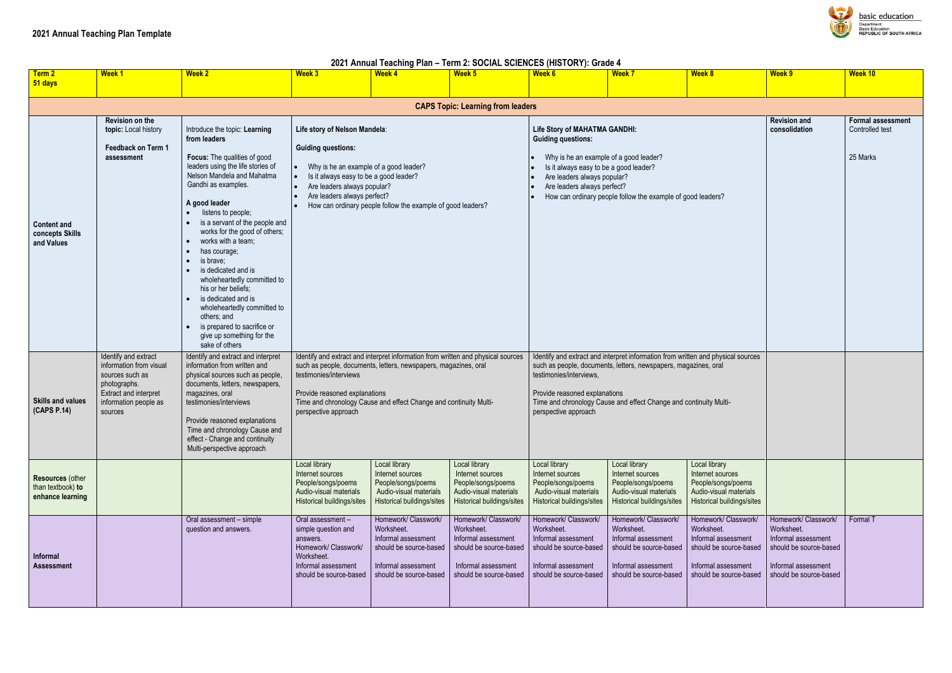#### **2021 Annual Teaching Plan – Term 2: SOCIAL SCIENCES (HISTORY): Grade 4**

| Term 2<br>51 days                                                | <b>Week 1</b>                                                                                                                                   | <b>Week 2</b>                                                                                                                                                                                                                                                                                                                                                                                                                                                                                                                                                        | <b>Week 3</b>                                                                                                                                                                                                | <b>Week 4</b>                                                                                                                                                                                                            | Week 5                                                                                                                               | <b>Week 6</b>                                                                                                                                                                                                       | <b>Week 7</b>                                                                                                                                                                                                            | <b>Week 8</b>                                                                                                                        | <b>Week 9</b>                                                                                                                        | Week 10                                                 |
|------------------------------------------------------------------|-------------------------------------------------------------------------------------------------------------------------------------------------|----------------------------------------------------------------------------------------------------------------------------------------------------------------------------------------------------------------------------------------------------------------------------------------------------------------------------------------------------------------------------------------------------------------------------------------------------------------------------------------------------------------------------------------------------------------------|--------------------------------------------------------------------------------------------------------------------------------------------------------------------------------------------------------------|--------------------------------------------------------------------------------------------------------------------------------------------------------------------------------------------------------------------------|--------------------------------------------------------------------------------------------------------------------------------------|---------------------------------------------------------------------------------------------------------------------------------------------------------------------------------------------------------------------|--------------------------------------------------------------------------------------------------------------------------------------------------------------------------------------------------------------------------|--------------------------------------------------------------------------------------------------------------------------------------|--------------------------------------------------------------------------------------------------------------------------------------|---------------------------------------------------------|
|                                                                  |                                                                                                                                                 |                                                                                                                                                                                                                                                                                                                                                                                                                                                                                                                                                                      |                                                                                                                                                                                                              |                                                                                                                                                                                                                          | <b>CAPS Topic: Learning from leaders</b>                                                                                             |                                                                                                                                                                                                                     |                                                                                                                                                                                                                          |                                                                                                                                      |                                                                                                                                      |                                                         |
| <b>Content and</b><br>concepts Skills<br>and Values              | Revision on the<br>topic: Local history<br>Feedback on Term 1<br>assessment                                                                     | Introduce the topic: Learning<br>from leaders<br>Focus: The qualities of good<br>leaders using the life stories of<br>Nelson Mandela and Mahatma<br>Gandhi as examples.<br>A good leader<br>listens to people;<br>is a servant of the people and<br>works for the good of others;<br>works with a team;<br>has courage;<br>is brave;<br>is dedicated and is<br>wholeheartedly committed to<br>his or her beliefs:<br>is dedicated and is<br>wholeheartedly committed to<br>others; and<br>is prepared to sacrifice or<br>give up something for the<br>sake of others | Life story of Nelson Mandela:<br><b>Guiding questions:</b><br>Why is he an example of a good leader?<br>Is it always easy to be a good leader?<br>Are leaders always popular?<br>Are leaders always perfect? | How can ordinary people follow the example of good leaders?                                                                                                                                                              |                                                                                                                                      | <b>Life Story of MAHATMA GANDHI:</b><br><b>Guiding questions:</b><br>Why is he an example of a good leader?<br>Is it always easy to be a good leader?<br>Are leaders always popular?<br>Are leaders always perfect? | How can ordinary people follow the example of good leaders?                                                                                                                                                              |                                                                                                                                      | <b>Revision and</b><br>consolidation                                                                                                 | <b>Formal assessment</b><br>Controlled test<br>25 Marks |
| <b>Skills and values</b><br>(CAPS P.14)                          | Identify and extract<br>information from visual<br>sources such as<br>photographs.<br>Extract and interpret<br>information people as<br>sources | Identify and extract and interpret<br>information from written and<br>physical sources such as people,<br>documents, letters, newspapers,<br>magazines, oral<br>testimonies/interviews<br>Provide reasoned explanations<br>Time and chronology Cause and<br>effect - Change and continuity<br>Multi-perspective approach                                                                                                                                                                                                                                             | testimonies/interviews<br>Provide reasoned explanations<br>perspective approach                                                                                                                              | Identify and extract and interpret information from written and physical sources<br>such as people, documents, letters, newspapers, magazines, oral<br>Time and chronology Cause and effect Change and continuity Multi- |                                                                                                                                      | testimonies/interviews,<br>Provide reasoned explanations<br>perspective approach                                                                                                                                    | Identify and extract and interpret information from written and physical sources<br>such as people, documents, letters, newspapers, magazines, oral<br>Time and chronology Cause and effect Change and continuity Multi- |                                                                                                                                      |                                                                                                                                      |                                                         |
| <b>Resources (other</b><br>than textbook) to<br>enhance learning |                                                                                                                                                 |                                                                                                                                                                                                                                                                                                                                                                                                                                                                                                                                                                      | Local library<br>Internet sources<br>People/songs/poems<br>Audio-visual materials<br>Historical buildings/sites                                                                                              | Local library<br>Internet sources<br>People/songs/poems<br>Audio-visual materials<br><b>Historical buildings/sites</b>                                                                                                   | Local library<br>Internet sources<br>People/songs/poems<br>Audio-visual materials<br>Historical buildings/sites                      | Local library<br>Internet sources<br>People/songs/poems<br>Audio-visual materials<br>Historical buildings/sites                                                                                                     | Local library<br>Internet sources<br>People/songs/poems<br>Audio-visual materials<br><b>Historical buildings/sites</b>                                                                                                   | Local library<br>Internet sources<br>People/songs/poems<br>Audio-visual materials<br>Historical buildings/sites                      |                                                                                                                                      |                                                         |
| Informal<br><b>Assessment</b>                                    |                                                                                                                                                 | Oral assessment - simple<br>question and answers.                                                                                                                                                                                                                                                                                                                                                                                                                                                                                                                    | Oral assessment -<br>simple question and<br>answers.<br>Homework/ Classwork/<br>Worksheet.<br>Informal assessment<br>should be source-based                                                                  | Homework/ Classwork/<br>Worksheet.<br>Informal assessment<br>should be source-based<br>Informal assessment<br>should be source-based                                                                                     | Homework/ Classwork/<br>Worksheet.<br>Informal assessment<br>should be source-based<br>Informal assessment<br>should be source-based | Homework/ Classwork/<br>Worksheet.<br>Informal assessment<br>should be source-based<br>Informal assessment<br>should be source-based                                                                                | Homework/ Classwork/<br>Worksheet.<br>Informal assessment<br>should be source-based<br>Informal assessment<br>should be source-based                                                                                     | Homework/ Classwork/<br>Worksheet.<br>Informal assessment<br>should be source-based<br>Informal assessment<br>should be source-based | Homework/ Classwork/<br>Worksheet.<br>Informal assessment<br>should be source-based<br>Informal assessment<br>should be source-based | Formal T                                                |

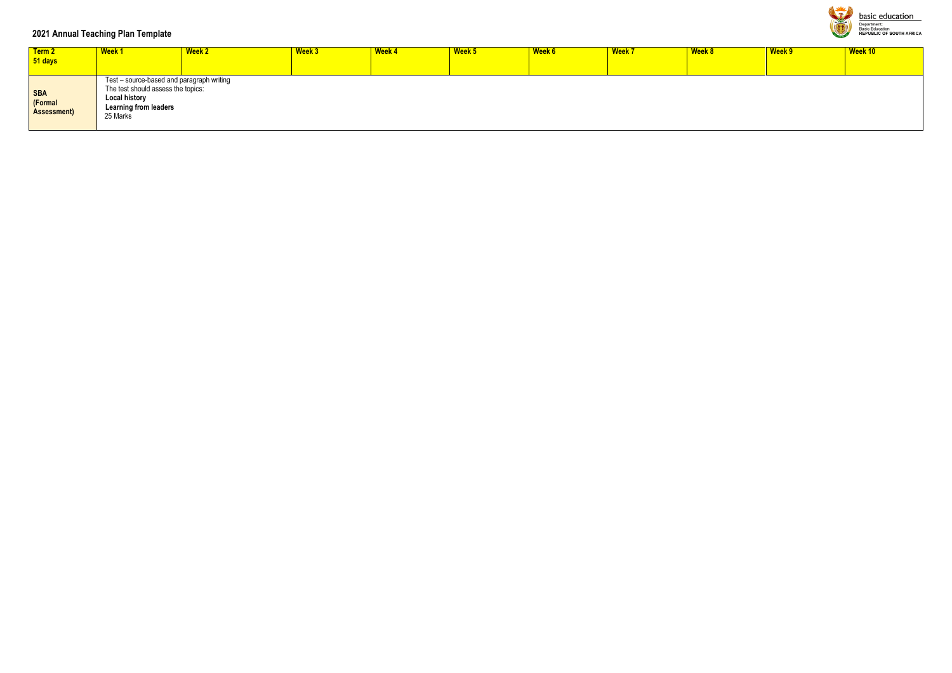### **2021 Annual Teaching Plan Template**

| Term 2<br>51 days                           | <b>Week1</b>                                                                                                                                        | <b>Week 2</b> | Week 3 | <b>Week 4</b> | Week 5 | Week 6 | <b>Week 7</b> | Week 8 | Week 9 | Week 10 |
|---------------------------------------------|-----------------------------------------------------------------------------------------------------------------------------------------------------|---------------|--------|---------------|--------|--------|---------------|--------|--------|---------|
| <b>SBA</b><br>(Formal<br><b>Assessment)</b> | Test - source-based and paragraph writing<br>The test should assess the topics:<br><b>Local history</b><br><b>Learning from leaders</b><br>25 Marks |               |        |               |        |        |               |        |        |         |



**basic education** Department:<br>Basic Education<br>REPUBLIC OF SOUTH AFRICA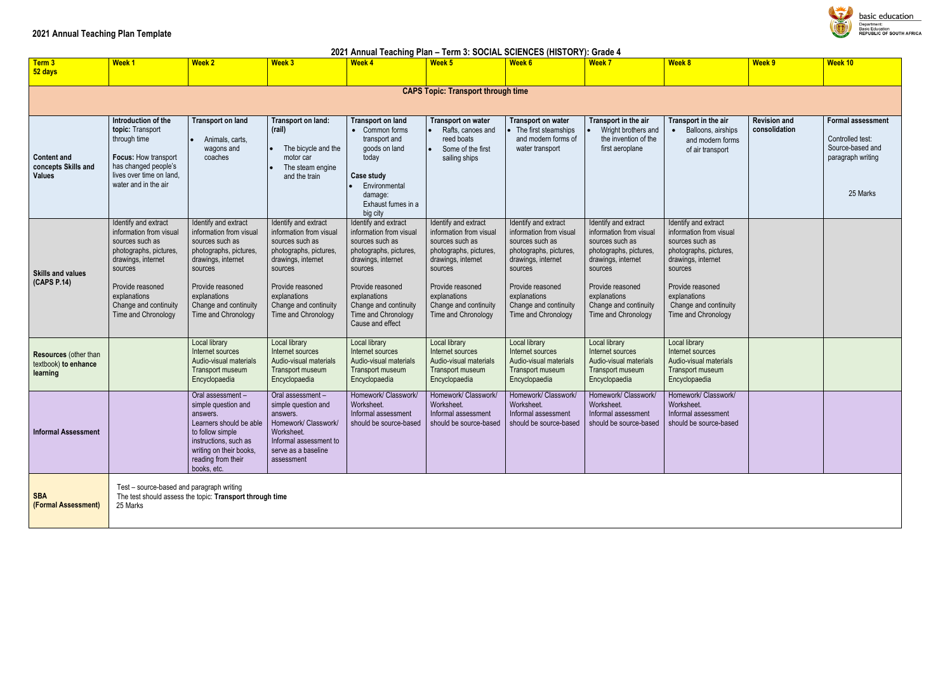### **2021 Annual Teaching Plan Template**

| 2021 Annual Teaching Plan - Term 3: SOCIAL SCIENCES (HISTORY): Grade 4 |                                                                                                                                                                                                                   |                                                                                                                                                                                                                   |                                                                                                                                                                                                                   |                                                                                                                                                                                                                                       |                                                                                                                                                                                                                   |                                                                                                                                                                                                                   |                                                                                                                                                                                                                   |                                                                                                                                                                                                                   |                                      |                                                                                                   |  |
|------------------------------------------------------------------------|-------------------------------------------------------------------------------------------------------------------------------------------------------------------------------------------------------------------|-------------------------------------------------------------------------------------------------------------------------------------------------------------------------------------------------------------------|-------------------------------------------------------------------------------------------------------------------------------------------------------------------------------------------------------------------|---------------------------------------------------------------------------------------------------------------------------------------------------------------------------------------------------------------------------------------|-------------------------------------------------------------------------------------------------------------------------------------------------------------------------------------------------------------------|-------------------------------------------------------------------------------------------------------------------------------------------------------------------------------------------------------------------|-------------------------------------------------------------------------------------------------------------------------------------------------------------------------------------------------------------------|-------------------------------------------------------------------------------------------------------------------------------------------------------------------------------------------------------------------|--------------------------------------|---------------------------------------------------------------------------------------------------|--|
| Term 3<br>52 days                                                      | Week <sub>1</sub>                                                                                                                                                                                                 | <b>Week 2</b>                                                                                                                                                                                                     | <b>Week 3</b>                                                                                                                                                                                                     | <b>Week 4</b>                                                                                                                                                                                                                         | Week 5                                                                                                                                                                                                            | <b>Week 6</b>                                                                                                                                                                                                     | <b>Week 7</b>                                                                                                                                                                                                     | <b>Week 8</b>                                                                                                                                                                                                     | Week 9                               | Week 10                                                                                           |  |
|                                                                        |                                                                                                                                                                                                                   |                                                                                                                                                                                                                   |                                                                                                                                                                                                                   |                                                                                                                                                                                                                                       | <b>CAPS Topic: Transport through time</b>                                                                                                                                                                         |                                                                                                                                                                                                                   |                                                                                                                                                                                                                   |                                                                                                                                                                                                                   |                                      |                                                                                                   |  |
|                                                                        |                                                                                                                                                                                                                   |                                                                                                                                                                                                                   |                                                                                                                                                                                                                   |                                                                                                                                                                                                                                       |                                                                                                                                                                                                                   |                                                                                                                                                                                                                   |                                                                                                                                                                                                                   |                                                                                                                                                                                                                   |                                      |                                                                                                   |  |
| <b>Content and</b><br>concepts Skills and<br><b>Values</b>             | Introduction of the<br>topic: Transport<br>through time<br>Focus: How transport<br>has changed people's<br>lives over time on land,<br>water and in the air                                                       | <b>Transport on land</b><br>Animals, carts,<br>wagons and<br>coaches                                                                                                                                              | Transport on land:<br>(rail)<br>The bicycle and the<br>motor car<br>The steam engine<br>and the train                                                                                                             | <b>Transport on land</b><br>• Common forms<br>transport and<br>goods on land<br>today<br>Case study<br>Environmental<br>damage:<br>Exhaust fumes in a<br>big city                                                                     | <b>Transport on water</b><br>Rafts, canoes and<br>reed boats<br>Some of the first<br>sailing ships                                                                                                                | <b>Transport on water</b><br>The first steamships<br>and modern forms of<br>water transport                                                                                                                       | Transport in the air<br>Wright brothers and<br>the invention of the<br>first aeroplane                                                                                                                            | Transport in the air<br>Balloons, airships<br>and modern forms<br>of air transport                                                                                                                                | <b>Revision and</b><br>consolidation | <b>Formal assessment</b><br>Controlled test:<br>Source-based and<br>paragraph writing<br>25 Marks |  |
| <b>Skills and values</b><br>(CAPS P.14)                                | Identify and extract<br>information from visual<br>sources such as<br>photographs, pictures,<br>drawings, internet<br>sources<br>Provide reasoned<br>explanations<br>Change and continuity<br>Time and Chronology | Identify and extract<br>information from visual<br>sources such as<br>photographs, pictures,<br>drawings, internet<br>sources<br>Provide reasoned<br>explanations<br>Change and continuity<br>Time and Chronology | Identify and extract<br>information from visual<br>sources such as<br>photographs, pictures,<br>drawings, internet<br>sources<br>Provide reasoned<br>explanations<br>Change and continuity<br>Time and Chronology | Identify and extract<br>information from visual<br>sources such as<br>photographs, pictures,<br>drawings, internet<br>sources<br>Provide reasoned<br>explanations<br>Change and continuity<br>Time and Chronology<br>Cause and effect | Identify and extract<br>information from visual<br>sources such as<br>photographs, pictures,<br>drawings, internet<br>sources<br>Provide reasoned<br>explanations<br>Change and continuity<br>Time and Chronology | Identify and extract<br>information from visual<br>sources such as<br>photographs, pictures,<br>drawings, internet<br>sources<br>Provide reasoned<br>explanations<br>Change and continuity<br>Time and Chronology | Identify and extract<br>information from visual<br>sources such as<br>photographs, pictures,<br>drawings, internet<br>sources<br>Provide reasoned<br>explanations<br>Change and continuity<br>Time and Chronology | Identify and extract<br>information from visual<br>sources such as<br>photographs, pictures,<br>drawings, internet<br>sources<br>Provide reasoned<br>explanations<br>Change and continuity<br>Time and Chronology |                                      |                                                                                                   |  |
| Resources (other than<br>textbook) to enhance<br>learning              |                                                                                                                                                                                                                   | Local library<br>Internet sources<br>Audio-visual materials<br>Transport museum<br>Encyclopaedia                                                                                                                  | Local library<br>Internet sources<br>Audio-visual materials<br>Transport museum<br>Encyclopaedia                                                                                                                  | Local library<br>Internet sources<br>Audio-visual materials<br>Transport museum<br>Encyclopaedia                                                                                                                                      | Local library<br>Internet sources<br>Audio-visual materials<br>Transport museum<br>Encyclopaedia                                                                                                                  | Local library<br>Internet sources<br>Audio-visual materials<br>Transport museum<br>Encyclopaedia                                                                                                                  | Local library<br>Internet sources<br>Audio-visual materials<br>Transport museum<br>Encyclopaedia                                                                                                                  | Local library<br>Internet sources<br>Audio-visual materials<br>Transport museum<br>Encyclopaedia                                                                                                                  |                                      |                                                                                                   |  |
| <b>Informal Assessment</b>                                             |                                                                                                                                                                                                                   | Oral assessment -<br>simple question and<br>answers.<br>Learners should be able<br>to follow simple<br>instructions, such as<br>writing on their books,<br>reading from their<br>books, etc.                      | Oral assessment -<br>simple question and<br>answers.<br>Homework/ Classwork/<br>Worksheet.<br>Informal assessment to<br>serve as a baseline<br>assessment                                                         | Homework/ Classwork/<br>Worksheet.<br>Informal assessment<br>should be source-based                                                                                                                                                   | Homework/ Classwork/<br>Worksheet.<br>Informal assessment<br>should be source-based                                                                                                                               | Homework/ Classwork/<br>Worksheet.<br>Informal assessment<br>should be source-based                                                                                                                               | Homework/ Classwork/<br>Worksheet.<br>Informal assessment<br>should be source-based                                                                                                                               | Homework/ Classwork/<br>Worksheet.<br>Informal assessment<br>should be source-based                                                                                                                               |                                      |                                                                                                   |  |
| <b>SBA</b><br>(Formal Assessment)                                      | Test - source-based and paragraph writing<br>The test should assess the topic: Transport through time<br>25 Marks                                                                                                 |                                                                                                                                                                                                                   |                                                                                                                                                                                                                   |                                                                                                                                                                                                                                       |                                                                                                                                                                                                                   |                                                                                                                                                                                                                   |                                                                                                                                                                                                                   |                                                                                                                                                                                                                   |                                      |                                                                                                   |  |



basic education Department:<br>Basic Education<br>REPUBLIC OF SOUTH AFRICA